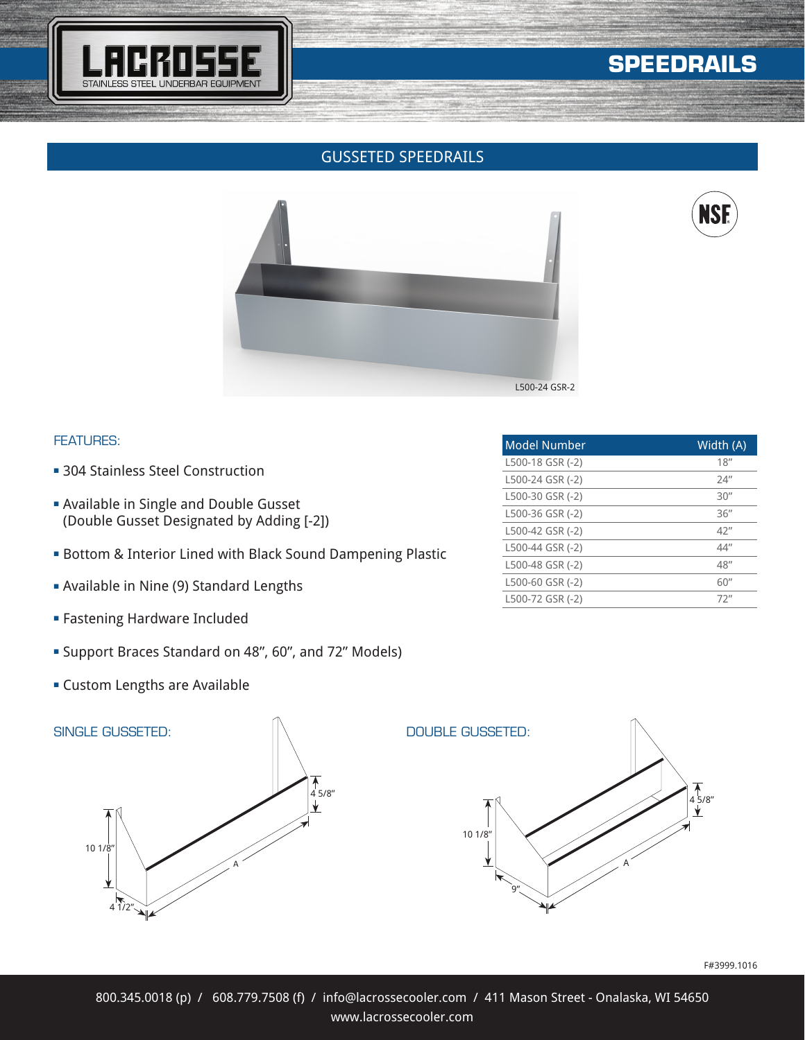

# **SPEEDRAILS**

# GUSSETED SPEEDRAILS





### FEATURES:

- 304 Stainless Steel Construction
- **Available in Single and Double Gusset** (Double Gusset Designated by Adding [-2])
- **Bottom & Interior Lined with Black Sound Dampening Plastic**
- **Example 13 Available in Nine (9) Standard Lengths**
- **Fastening Hardware Included**
- <sup>n</sup> Support Braces Standard on 48", 60", and 72" Models)
- **Exercice Custom Lengths are Available**



| Model Number     | Width $(A)$ |
|------------------|-------------|
| L500-18 GSR (-2) | 18''        |
| L500-24 GSR (-2) | 24''        |
| L500-30 GSR (-2) | 30''        |
| L500-36 GSR (-2) | 36''        |
| L500-42 GSR (-2) | 42''        |
| L500-44 GSR (-2) | 44"         |
| L500-48 GSR (-2) | 48''        |
| L500-60 GSR (-2) | 60''        |
| L500-72 GSR (-2) | 72"         |